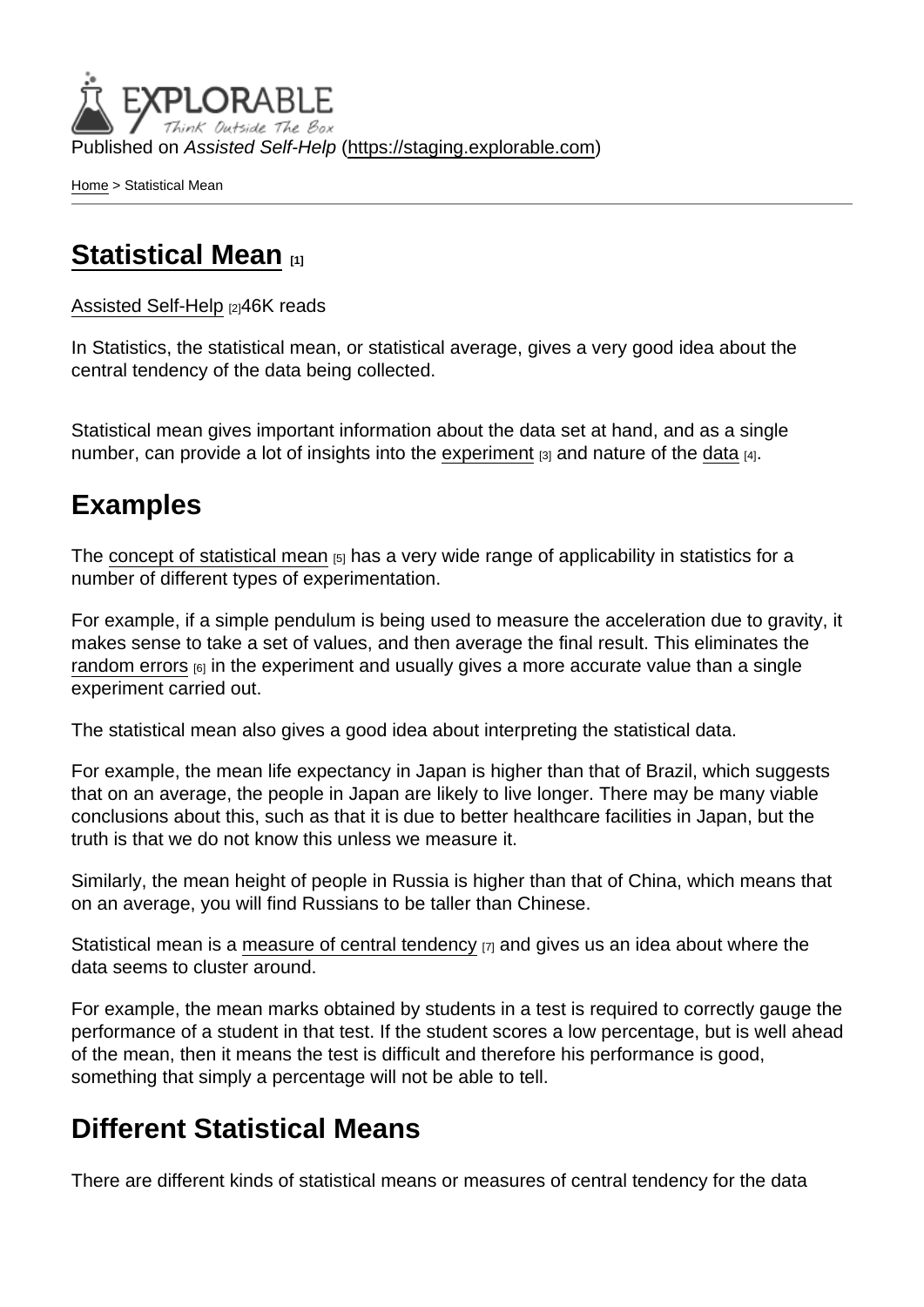Published on Assisted Self-Help [\(https://staging.explorable.com](https://staging.explorable.com))

[Home](https://staging.explorable.com/en) > Statistical Mean

## [Statistical Mean](https://staging.explorable.com/en/statistical-mean) [1]

## [Assisted Self-Help](https://staging.explorable.com/en) [2]46K reads

In Statistics, the statistical mean, or statistical average, gives a very good idea about the central tendency of the data being collected.

Statistical mean gives important information about the data set at hand, and as a single number, can provide a lot of insights into the [experiment](https://staging.explorable.com/conducting-an-experiment)  $_{[3]}$  and nature of the [data](https://staging.explorable.com/statistical-data-sets)  $_{[4]}$ .

## Examples

The [concept of statistical mean](http://en.wikipedia.org/wiki/Mean)  $_{[5]}$  has a very wide range of applicability in statistics for a number of different types of experimentation.

For example, if a simple pendulum is being used to measure the acceleration due to gravity, it makes sense to take a set of values, and then average the final result. This eliminates the [random errors](https://staging.explorable.com/random-error)  $_{[6]}$  in the experiment and usually gives a more accurate value than a single experiment carried out.

The statistical mean also gives a good idea about interpreting the statistical data.

For example, the mean life expectancy in Japan is higher than that of Brazil, which suggests that on an average, the people in Japan are likely to live longer. There may be many viable conclusions about this, such as that it is due to better healthcare facilities in Japan, but the truth is that we do not know this unless we measure it.

Similarly, the mean height of people in Russia is higher than that of China, which means that on an average, you will find Russians to be taller than Chinese.

Statistical mean is a [measure of central tendency](https://staging.explorable.com/measures-of-central-tendency)  $[7]$  and gives us an idea about where the data seems to cluster around.

For example, the mean marks obtained by students in a test is required to correctly gauge the performance of a student in that test. If the student scores a low percentage, but is well ahead of the mean, then it means the test is difficult and therefore his performance is good, something that simply a percentage will not be able to tell.

## Different Statistical Means

There are different kinds of statistical means or measures of central tendency for the data